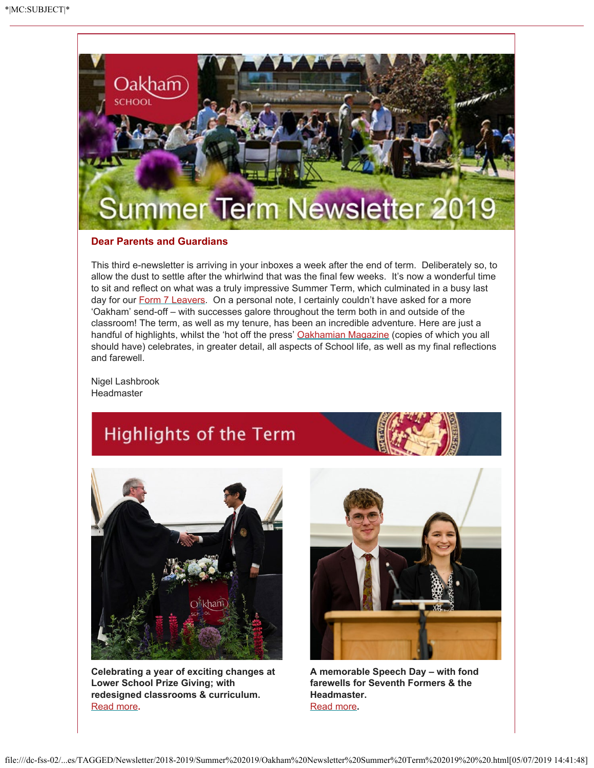

#### **Dear Parents and Guardians**

This third e-newsletter is arriving in your inboxes a week after the end of term. Deliberately so, to allow the dust to settle after the whirlwind that was the final few weeks. It's now a wonderful time to sit and reflect on what was a truly impressive Summer Term, which culminated in a busy last day for our **Form 7 Leavers**. On a personal note, I certainly couldn't have asked for a more 'Oakham' send-off – with successes galore throughout the term both in and outside of the classroom! The term, as well as my tenure, has been an incredible adventure. Here are just a handful of highlights, whilst the 'hot off the press' [Oakhamian Magazine](https://issuu.com/oakhamsch/docs/oakhamian_winter_18_spring_19_issue?fr=xKAE9_zU1NQ) (copies of which you all should have) celebrates, in greater detail, all aspects of School life, as well as my final reflections and farewell.

Nigel Lashbrook Headmaster

# **Highlights of the Term**



**Celebrating a year of exciting changes at Lower School Prize Giving; with redesigned classrooms & curriculum.** [Read more](https://www.oakham.rutland.sch.uk/Celebrating-a-year-of-exciting-change-at-Lower-School-Prize-Giving?returnUrl=/default)**.**



**A memorable Speech Day – with fond farewells for Seventh Formers & the Headmaster.** [Read more](https://www.oakham.rutland.sch.uk/Speech-Day-Farewell-to-Mr-Blue-Sky)**.**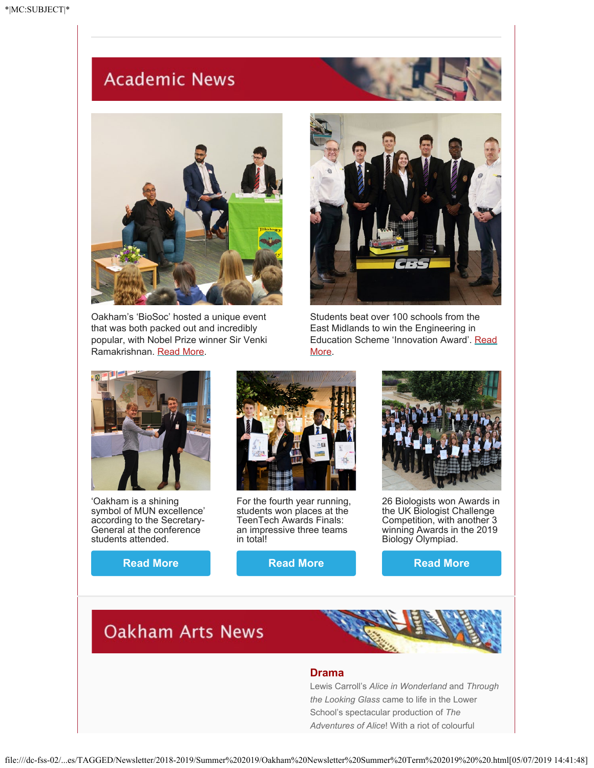## **Academic News**



Oakham's 'BioSoc' hosted a unique event that was both packed out and incredibly popular, with Nobel Prize winner Sir Venki Ramakrishnan. [Read More](https://www.oakham.rutland.sch.uk/A-memorable-evening-with-Nobel-Prize-winner).



Students beat over 100 schools from the East Midlands to win the Engineering in Education Scheme 'Innovation Award'. [Read](https://www.oakham.rutland.sch.uk/Oakhamians-win-Engineering-Innovation-Award) [More.](https://www.oakham.rutland.sch.uk/Oakhamians-win-Engineering-Innovation-Award)



'Oakham is a shining symbol of MUN excellence' according to the Secretary-General at the conference students attended.

**[Read More](https://www.oakham.rutland.sch.uk/Oakham-is-a-shining-symbol-of-MUN-excellence)**



For the fourth year running, students won places at the TeenTech Awards Finals: an impressive three teams in total!

**[Read More](https://www.oakham.rutland.sch.uk/TeenTech-Finalists-for-the-4th-year-running)**



26 Biologists won Awards in the UK Biologist Challenge Competition, with another 3 winning Awards in the 2019 Biology Olympiad.

**[Read More](https://www.oakham.rutland.sch.uk/Oakham-Biologists-triumph-in-Biology-Challenge)**

### **Oakham Arts News**

#### **Drama**

Lewis Carroll's *Alice in Wonderland* and *Through the Looking Glass* came to life in the Lower School's spectacular production of *The Adventures of Alice*! With a riot of colourful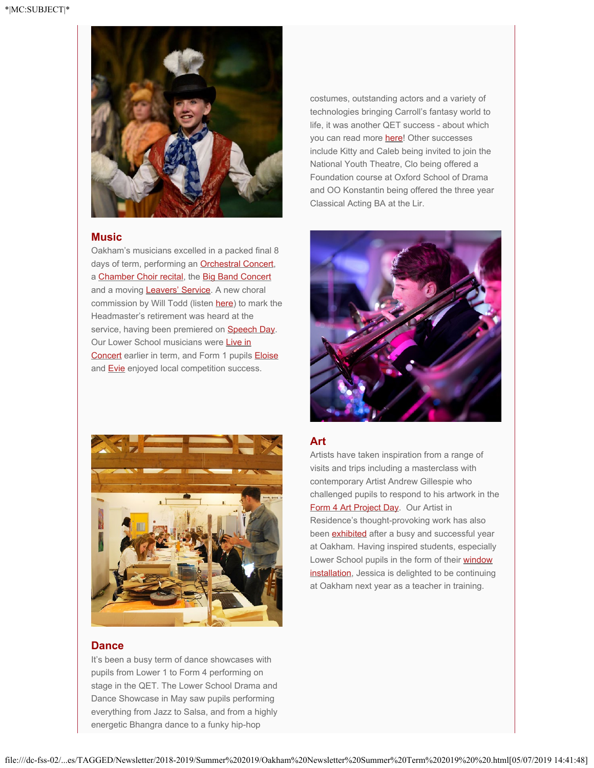

#### **Music**

Oakham's musicians excelled in a packed final 8 days of term, performing an **[Orchestral Concert](https://oakhamschool.fluencycms.co.uk/Orchestral-Concert?returnUrl=/Latest-News)**, a [Chamber Choir recital](https://oakhamschool.fluencycms.co.uk/Chamber-Choir-concludes-our-Music-at-Lunchtime-series?returnUrl=/Latest-News), the [Big Band Concert](https://oakhamschool.fluencycms.co.uk/Big-Band-Delivers-an-Exhilarating-Concert-Once-Again) and a moving **Leavers' Service**. A new choral commission by Will Todd (listen [here](https://soundcloud.com/oakham-school-music/sets/will-todd-for-the-beauty-of)) to mark the Headmaster's retirement was heard at the service, having been premiered on **Speech Day**. Our Lower School musicians were [Live in](https://www.oakham.rutland.sch.uk/Lower-School-Live-in-Concert-1) [Concert](https://www.oakham.rutland.sch.uk/Lower-School-Live-in-Concert-1) earlier in term, and Form 1 pupils [Eloise](https://www.oakham.rutland.sch.uk/Eloise-wins-Rotary-Young-Musician-Intermediate-Solo-Vocal-Group) and **Evie** enjoyed local competition success.

costumes, outstanding actors and a variety of technologies bringing Carroll's fantasy world to life, it was another QET success - about which you can read more [here](https://www.oakham.rutland.sch.uk/Join-The-Adventures-of-Alice-at-Oakham?returnUrl=/default)! Other successes include Kitty and Caleb being invited to join the National Youth Theatre, Clo being offered a Foundation course at Oxford School of Drama and OO Konstantin being offered the three year Classical Acting BA at the Lir.





#### **Dance**

It's been a busy term of dance showcases with pupils from Lower 1 to Form 4 performing on stage in the QET. The Lower School Drama and Dance Showcase in May saw pupils performing everything from Jazz to Salsa, and from a highly energetic Bhangra dance to a funky hip-hop

#### **Art**

Artists have taken inspiration from a range of visits and trips including a masterclass with contemporary Artist Andrew Gillespie who challenged pupils to respond to his artwork in the [Form 4 Art Project Day.](https://www.oakham.rutland.sch.uk/The-Italian-Job---Form-4-Project-Day?returnUrl=/default) Our Artist in Residence's thought-provoking work has also been **exhibited** after a busy and successful year at Oakham. Having inspired students, especially Lower School pupils in the form of their [window](https://www.oakham.rutland.sch.uk/Lower-School-Art-installation-by-Artist-in-Residence-Jessica-Gilbert) [installation](https://www.oakham.rutland.sch.uk/Lower-School-Art-installation-by-Artist-in-Residence-Jessica-Gilbert), Jessica is delighted to be continuing at Oakham next year as a teacher in training.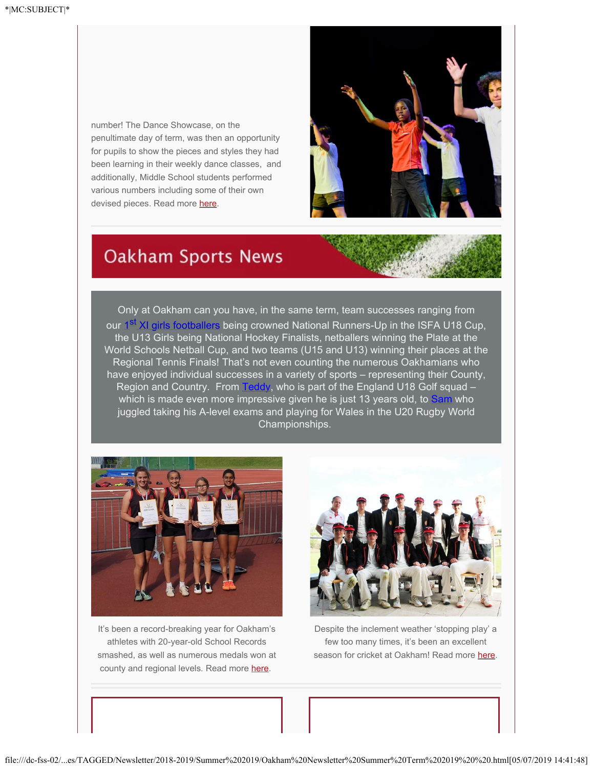number! The Dance Showcase, on the penultimate day of term, was then an opportunity for pupils to show the pieces and styles they had been learning in their weekly dance classes, and additionally, Middle School students performed various numbers including some of their own devised pieces. Read more [here](https://www.oakham.rutland.sch.uk/Stunning-Dance-Performances-in-the-QET?returnUrl=/default).



### **Oakham Sports News**

Only at Oakham can you have, in the same term, team successes ranging from our [1](https://www.oakham.rutland.sch.uk/Girls-U18-Football-Team-win-Silver-Medal-at-ISFA-National-Cup-Final)<sup>[st](https://www.oakham.rutland.sch.uk/Girls-U18-Football-Team-win-Silver-Medal-at-ISFA-National-Cup-Final)</sup> [XI girls footballers](https://www.oakham.rutland.sch.uk/Girls-U18-Football-Team-win-Silver-Medal-at-ISFA-National-Cup-Final) being crowned National Runners-Up in the ISFA U18 Cup, the U13 Girls being National Hockey Finalists, netballers winning the Plate at the World Schools Netball Cup, and two teams (U15 and U13) winning their places at the Regional Tennis Finals! That's not even counting the numerous Oakhamians who have enjoyed individual successes in a variety of sports – representing their County, Region and Country. From [Teddy](https://www.oakham.rutland.sch.uk/Teddy-is-U14-U16-and-U18-Golf-Champion), who is part of the England U18 Golf squad -which is made even more impressive given he is just 13 years old, to [Sam](https://www.oakham.rutland.sch.uk/Sams-Rugby-World-Championship-Adventure?returnUrl=/Latest-News) who juggled taking his A-level exams and playing for Wales in the U20 Rugby World Championships.



It's been a record-breaking year for Oakham's athletes with 20-year-old School Records smashed, as well as numerous medals won at county and regional levels*.* Read more [here](https://www.oakham.rutland.sch.uk/A-record-breaking-year-for-Oakhams-athletes?returnUrl=/Latest-News).



Despite the inclement weather 'stopping play' a few too many times, it's been an excellent season for cricket at Oakham! Read more [here](https://www.oakham.rutland.sch.uk/Cricket-Season-Summary-1?returnUrl=/Latest-News).